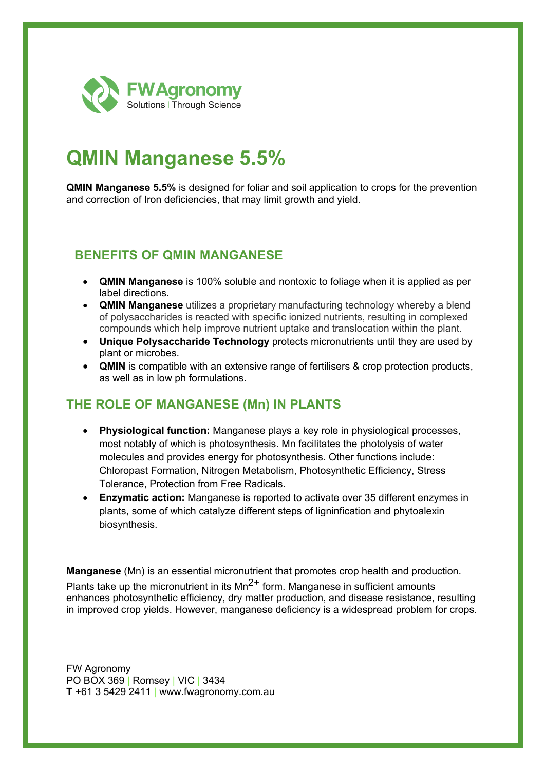

# **QMIN Manganese 5.5%**

**QMIN Manganese 5.5%** is designed for foliar and soil application to crops for the prevention and correction of Iron deficiencies, that may limit growth and yield.

#### **BENEFITS OF QMIN MANGANESE**

- **QMIN Manganese** is 100% soluble and nontoxic to foliage when it is applied as per label directions.
- **QMIN Manganese** utilizes a proprietary manufacturing technology whereby a blend of polysaccharides is reacted with specific ionized nutrients, resulting in complexed compounds which help improve nutrient uptake and translocation within the plant.
- **Unique Polysaccharide Technology** protects micronutrients until they are used by plant or microbes.
- **QMIN** is compatible with an extensive range of fertilisers & crop protection products, as well as in low ph formulations.

## **THE ROLE OF MANGANESE (Mn) IN PLANTS**

- **Physiological function:** Manganese plays a key role in physiological processes, most notably of which is photosynthesis. Mn facilitates the photolysis of water molecules and provides energy for photosynthesis. Other functions include: Chloropast Formation, Nitrogen Metabolism, Photosynthetic Efficiency, Stress Tolerance, Protection from Free Radicals.
- **Enzymatic action:** Manganese is reported to activate over 35 different enzymes in plants, some of which catalyze different steps of ligninfication and phytoalexin biosynthesis.

**Manganese** (Mn) is an essential micronutrient that promotes crop health and production. Plants take up the micronutrient in its  $Mn^{2+}$  form. Manganese in sufficient amounts enhances photosynthetic efficiency, dry matter production, and disease resistance, resulting in improved crop yields. However, manganese deficiency is a widespread problem for crops.

FW Agronomy PO BOX 369 | Romsey | VIC | 3434 **T** +61 3 5429 2411 | www.fwagronomy.com.au